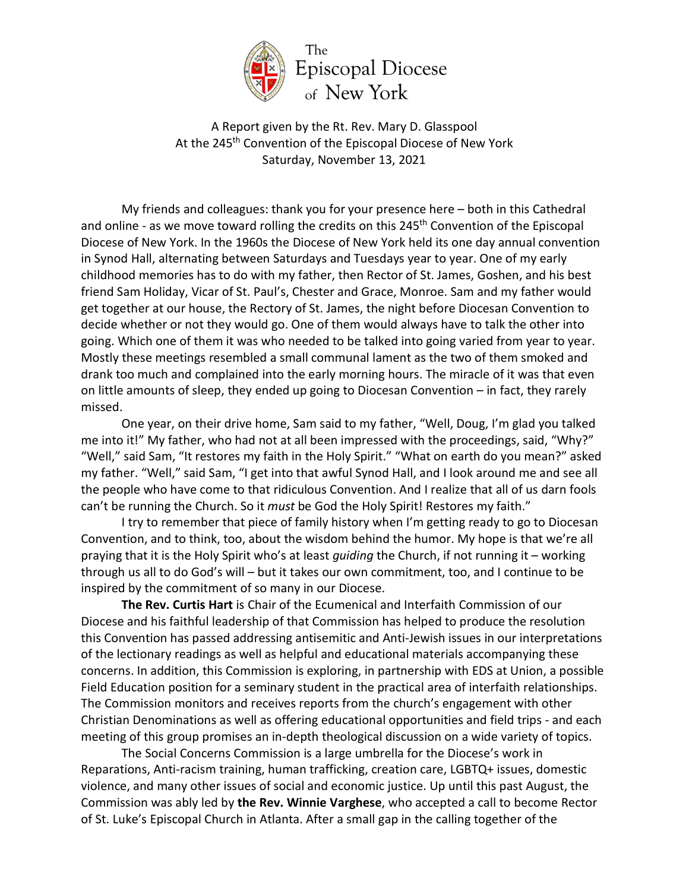

A Report given by the Rt. Rev. Mary D. Glasspool At the 245<sup>th</sup> Convention of the Episcopal Diocese of New York Saturday, November 13, 2021

My friends and colleagues: thank you for your presence here – both in this Cathedral and online - as we move toward rolling the credits on this 245<sup>th</sup> Convention of the Episcopal Diocese of New York. In the 1960s the Diocese of New York held its one day annual convention in Synod Hall, alternating between Saturdays and Tuesdays year to year. One of my early childhood memories has to do with my father, then Rector of St. James, Goshen, and his best friend Sam Holiday, Vicar of St. Paul's, Chester and Grace, Monroe. Sam and my father would get together at our house, the Rectory of St. James, the night before Diocesan Convention to decide whether or not they would go. One of them would always have to talk the other into going. Which one of them it was who needed to be talked into going varied from year to year. Mostly these meetings resembled a small communal lament as the two of them smoked and drank too much and complained into the early morning hours. The miracle of it was that even on little amounts of sleep, they ended up going to Diocesan Convention – in fact, they rarely missed.

One year, on their drive home, Sam said to my father, "Well, Doug, I'm glad you talked me into it!" My father, who had not at all been impressed with the proceedings, said, "Why?" "Well," said Sam, "It restores my faith in the Holy Spirit." "What on earth do you mean?" asked my father. "Well," said Sam, "I get into that awful Synod Hall, and I look around me and see all the people who have come to that ridiculous Convention. And I realize that all of us darn fools can't be running the Church. So it *must* be God the Holy Spirit! Restores my faith."

I try to remember that piece of family history when I'm getting ready to go to Diocesan Convention, and to think, too, about the wisdom behind the humor. My hope is that we're all praying that it is the Holy Spirit who's at least *guiding* the Church, if not running it – working through us all to do God's will – but it takes our own commitment, too, and I continue to be inspired by the commitment of so many in our Diocese.

**The Rev. Curtis Hart** is Chair of the Ecumenical and Interfaith Commission of our Diocese and his faithful leadership of that Commission has helped to produce the resolution this Convention has passed addressing antisemitic and Anti-Jewish issues in our interpretations of the lectionary readings as well as helpful and educational materials accompanying these concerns. In addition, this Commission is exploring, in partnership with EDS at Union, a possible Field Education position for a seminary student in the practical area of interfaith relationships. The Commission monitors and receives reports from the church's engagement with other Christian Denominations as well as offering educational opportunities and field trips - and each meeting of this group promises an in-depth theological discussion on a wide variety of topics.

The Social Concerns Commission is a large umbrella for the Diocese's work in Reparations, Anti-racism training, human trafficking, creation care, LGBTQ+ issues, domestic violence, and many other issues of social and economic justice. Up until this past August, the Commission was ably led by **the Rev. Winnie Varghese**, who accepted a call to become Rector of St. Luke's Episcopal Church in Atlanta. After a small gap in the calling together of the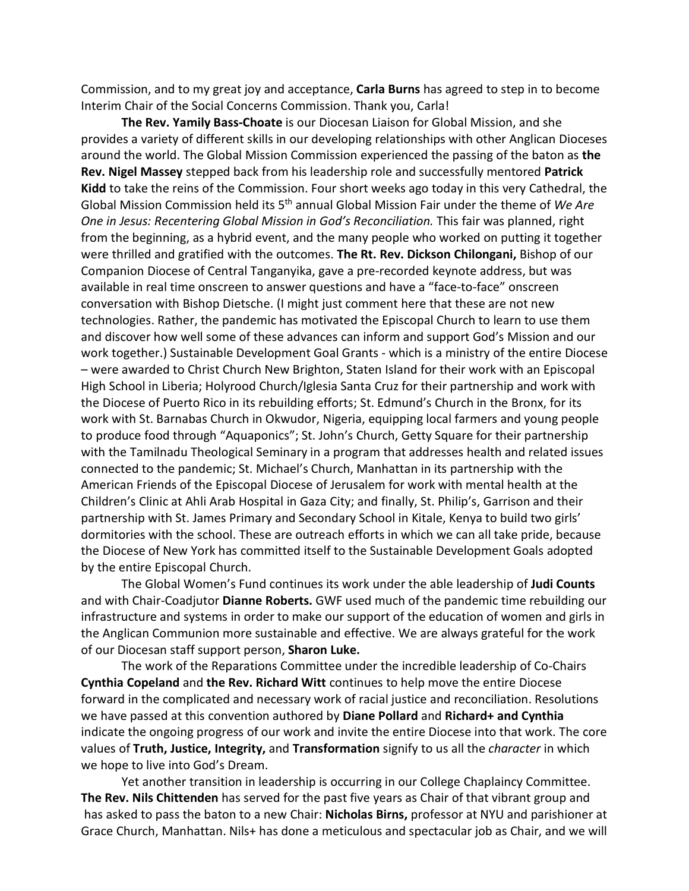Commission, and to my great joy and acceptance, **Carla Burns** has agreed to step in to become Interim Chair of the Social Concerns Commission. Thank you, Carla!

**The Rev. Yamily Bass-Choate** is our Diocesan Liaison for Global Mission, and she provides a variety of different skills in our developing relationships with other Anglican Dioceses around the world. The Global Mission Commission experienced the passing of the baton as **the Rev. Nigel Massey** stepped back from his leadership role and successfully mentored **Patrick Kidd** to take the reins of the Commission. Four short weeks ago today in this very Cathedral, the Global Mission Commission held its 5th annual Global Mission Fair under the theme of *We Are One in Jesus: Recentering Global Mission in God's Reconciliation.* This fair was planned, right from the beginning, as a hybrid event, and the many people who worked on putting it together were thrilled and gratified with the outcomes. **The Rt. Rev. Dickson Chilongani,** Bishop of our Companion Diocese of Central Tanganyika, gave a pre-recorded keynote address, but was available in real time onscreen to answer questions and have a "face-to-face" onscreen conversation with Bishop Dietsche. (I might just comment here that these are not new technologies. Rather, the pandemic has motivated the Episcopal Church to learn to use them and discover how well some of these advances can inform and support God's Mission and our work together.) Sustainable Development Goal Grants - which is a ministry of the entire Diocese – were awarded to Christ Church New Brighton, Staten Island for their work with an Episcopal High School in Liberia; Holyrood Church/Iglesia Santa Cruz for their partnership and work with the Diocese of Puerto Rico in its rebuilding efforts; St. Edmund's Church in the Bronx, for its work with St. Barnabas Church in Okwudor, Nigeria, equipping local farmers and young people to produce food through "Aquaponics"; St. John's Church, Getty Square for their partnership with the Tamilnadu Theological Seminary in a program that addresses health and related issues connected to the pandemic; St. Michael's Church, Manhattan in its partnership with the American Friends of the Episcopal Diocese of Jerusalem for work with mental health at the Children's Clinic at Ahli Arab Hospital in Gaza City; and finally, St. Philip's, Garrison and their partnership with St. James Primary and Secondary School in Kitale, Kenya to build two girls' dormitories with the school. These are outreach efforts in which we can all take pride, because the Diocese of New York has committed itself to the Sustainable Development Goals adopted by the entire Episcopal Church.

The Global Women's Fund continues its work under the able leadership of **Judi Counts** and with Chair-Coadjutor **Dianne Roberts.** GWF used much of the pandemic time rebuilding our infrastructure and systems in order to make our support of the education of women and girls in the Anglican Communion more sustainable and effective. We are always grateful for the work of our Diocesan staff support person, **Sharon Luke.**

The work of the Reparations Committee under the incredible leadership of Co-Chairs **Cynthia Copeland** and **the Rev. Richard Witt** continues to help move the entire Diocese forward in the complicated and necessary work of racial justice and reconciliation. Resolutions we have passed at this convention authored by **Diane Pollard** and **Richard+ and Cynthia** indicate the ongoing progress of our work and invite the entire Diocese into that work. The core values of **Truth, Justice, Integrity,** and **Transformation** signify to us all the *character* in which we hope to live into God's Dream.

Yet another transition in leadership is occurring in our College Chaplaincy Committee. **The Rev. Nils Chittenden** has served for the past five years as Chair of that vibrant group and has asked to pass the baton to a new Chair: **Nicholas Birns,** professor at NYU and parishioner at Grace Church, Manhattan. Nils+ has done a meticulous and spectacular job as Chair, and we will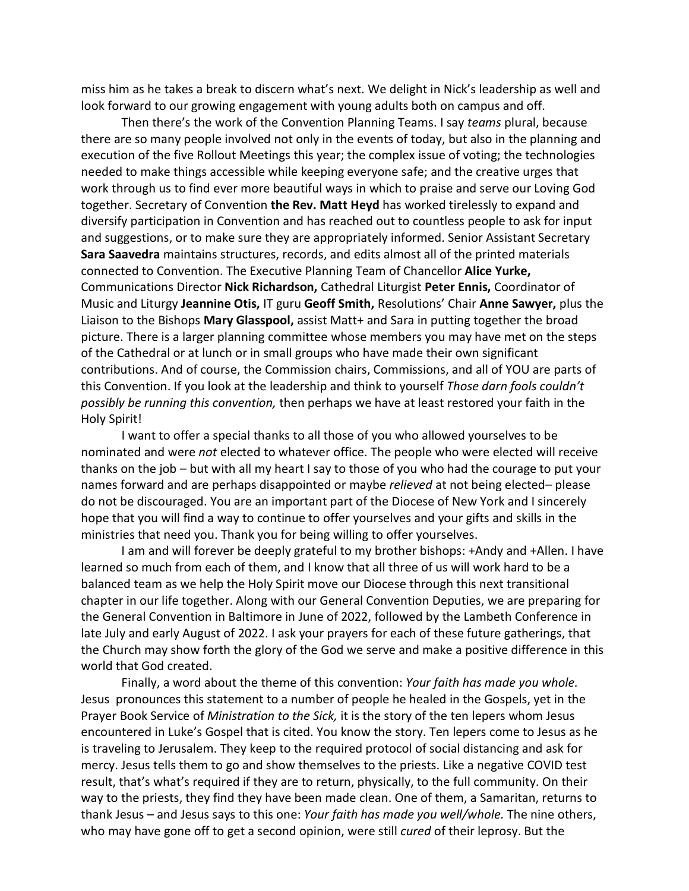miss him as he takes a break to discern what's next. We delight in Nick's leadership as well and look forward to our growing engagement with young adults both on campus and off.

Then there's the work of the Convention Planning Teams. I say *teams* plural, because there are so many people involved not only in the events of today, but also in the planning and execution of the five Rollout Meetings this year; the complex issue of voting; the technologies needed to make things accessible while keeping everyone safe; and the creative urges that work through us to find ever more beautiful ways in which to praise and serve our Loving God together. Secretary of Convention **the Rev. Matt Heyd** has worked tirelessly to expand and diversify participation in Convention and has reached out to countless people to ask for input and suggestions, or to make sure they are appropriately informed. Senior Assistant Secretary **Sara Saavedra** maintains structures, records, and edits almost all of the printed materials connected to Convention. The Executive Planning Team of Chancellor **Alice Yurke,**  Communications Director **Nick Richardson,** Cathedral Liturgist **Peter Ennis,** Coordinator of Music and Liturgy **Jeannine Otis,** IT guru **Geoff Smith,** Resolutions' Chair **Anne Sawyer,** plus the Liaison to the Bishops **Mary Glasspool,** assist Matt+ and Sara in putting together the broad picture. There is a larger planning committee whose members you may have met on the steps of the Cathedral or at lunch or in small groups who have made their own significant contributions. And of course, the Commission chairs, Commissions, and all of YOU are parts of this Convention. If you look at the leadership and think to yourself *Those darn fools couldn't possibly be running this convention,* then perhaps we have at least restored your faith in the Holy Spirit!

I want to offer a special thanks to all those of you who allowed yourselves to be nominated and were *not* elected to whatever office. The people who were elected will receive thanks on the job – but with all my heart I say to those of you who had the courage to put your names forward and are perhaps disappointed or maybe *relieved* at not being elected– please do not be discouraged. You are an important part of the Diocese of New York and I sincerely hope that you will find a way to continue to offer yourselves and your gifts and skills in the ministries that need you. Thank you for being willing to offer yourselves.

I am and will forever be deeply grateful to my brother bishops: +Andy and +Allen. I have learned so much from each of them, and I know that all three of us will work hard to be a balanced team as we help the Holy Spirit move our Diocese through this next transitional chapter in our life together. Along with our General Convention Deputies, we are preparing for the General Convention in Baltimore in June of 2022, followed by the Lambeth Conference in late July and early August of 2022. I ask your prayers for each of these future gatherings, that the Church may show forth the glory of the God we serve and make a positive difference in this world that God created.

Finally, a word about the theme of this convention: *Your faith has made you whole.* Jesus pronounces this statement to a number of people he healed in the Gospels, yet in the Prayer Book Service of *Ministration to the Sick,* it is the story of the ten lepers whom Jesus encountered in Luke's Gospel that is cited. You know the story. Ten lepers come to Jesus as he is traveling to Jerusalem. They keep to the required protocol of social distancing and ask for mercy. Jesus tells them to go and show themselves to the priests. Like a negative COVID test result, that's what's required if they are to return, physically, to the full community. On their way to the priests, they find they have been made clean. One of them, a Samaritan, returns to thank Jesus – and Jesus says to this one: *Your faith has made you well/whole.* The nine others, who may have gone off to get a second opinion, were still *cured* of their leprosy. But the